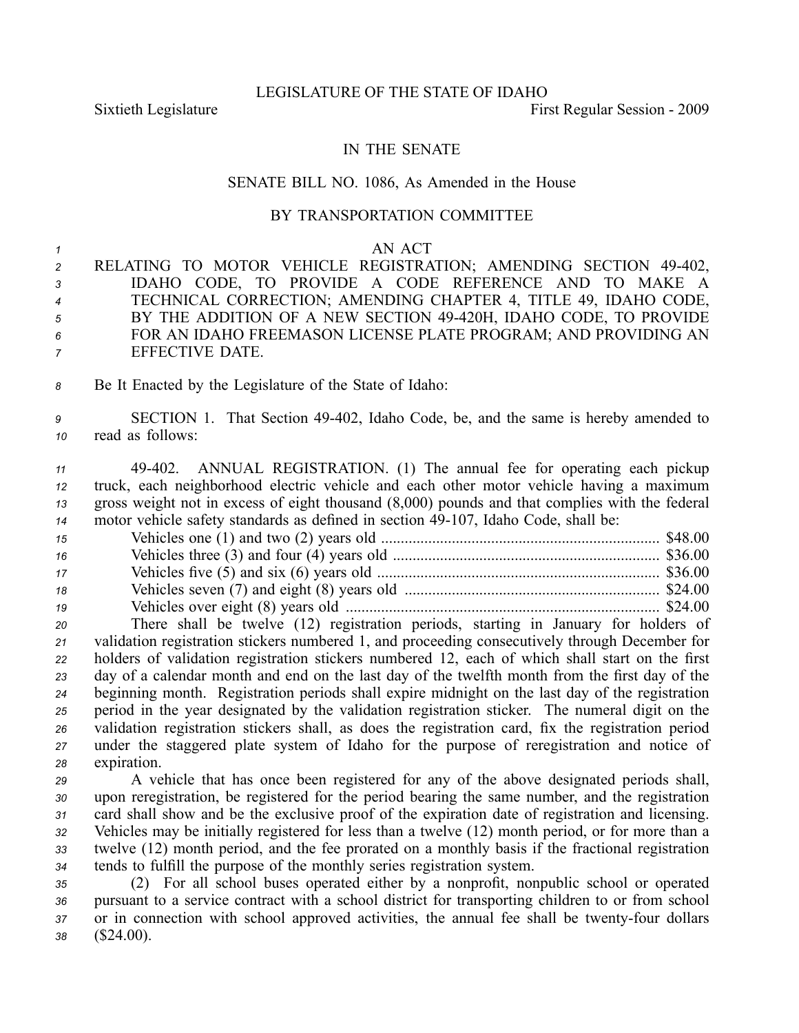LEGISLATURE OF THE STATE OF IDAHO

## IN THE SENATE

## SENATE BILL NO. 1086, As Amended in the House

## BY TRANSPORTATION COMMITTEE

|  | AN ACT |
|--|--------|
|--|--------|

 RELATING TO MOTOR VEHICLE REGISTRATION; AMENDING SECTION 49402, IDAHO CODE, TO PROVIDE A CODE REFERENCE AND TO MAKE A TECHNICAL CORRECTION; AMENDING CHAPTER 4, TITLE 49, IDAHO CODE, BY THE ADDITION OF A NEW SECTION 49420H, IDAHO CODE, TO PROVIDE FOR AN IDAHO FREEMASON LICENSE PLATE PROGRAM; AND PROVIDING AN EFFECTIVE DATE.

*<sup>8</sup>* Be It Enacted by the Legislature of the State of Idaho:

*<sup>9</sup>* SECTION 1. That Section 49402, Idaho Code, be, and the same is hereby amended to *<sup>10</sup>* read as follows:

 49402. ANNUAL REGISTRATION. (1) The annual fee for operating each pickup truck, each neighborhood electric vehicle and each other motor vehicle having <sup>a</sup> maximum gross weight not in excess of eight thousand (8,000) pounds and that complies with the federal motor vehicle safety standards as defined in section 49-107, Idaho Code, shall be:

| 15 |  |
|----|--|
| 16 |  |
| 17 |  |
| 18 |  |
| 19 |  |

 There shall be twelve (12) registration periods, starting in January for holders of validation registration stickers numbered 1, and proceeding consecutively through December for holders of validation registration stickers numbered 12, each of which shall start on the first day of <sup>a</sup> calendar month and end on the last day of the twelfth month from the first day of the beginning month. Registration periods shall expire midnight on the last day of the registration period in the year designated by the validation registration sticker. The numeral digit on the validation registration stickers shall, as does the registration card, fix the registration period under the staggered plate system of Idaho for the purpose of reregistration and notice of expiration.

 A vehicle that has once been registered for any of the above designated periods shall, upon reregistration, be registered for the period bearing the same number, and the registration card shall show and be the exclusive proof of the expiration date of registration and licensing. Vehicles may be initially registered for less than <sup>a</sup> twelve (12) month period, or for more than <sup>a</sup> twelve (12) month period, and the fee prorated on <sup>a</sup> monthly basis if the fractional registration tends to fulfill the purpose of the monthly series registration system.

*<sup>35</sup>* (2) For all school buses operated either by <sup>a</sup> nonprofit, nonpublic school or operated *<sup>36</sup>* pursuan<sup>t</sup> to <sup>a</sup> service contract with <sup>a</sup> school district for transporting children to or from school 37 or in connection with school approved activities, the annual fee shall be twenty-four dollars *<sup>38</sup>* (\$24.00).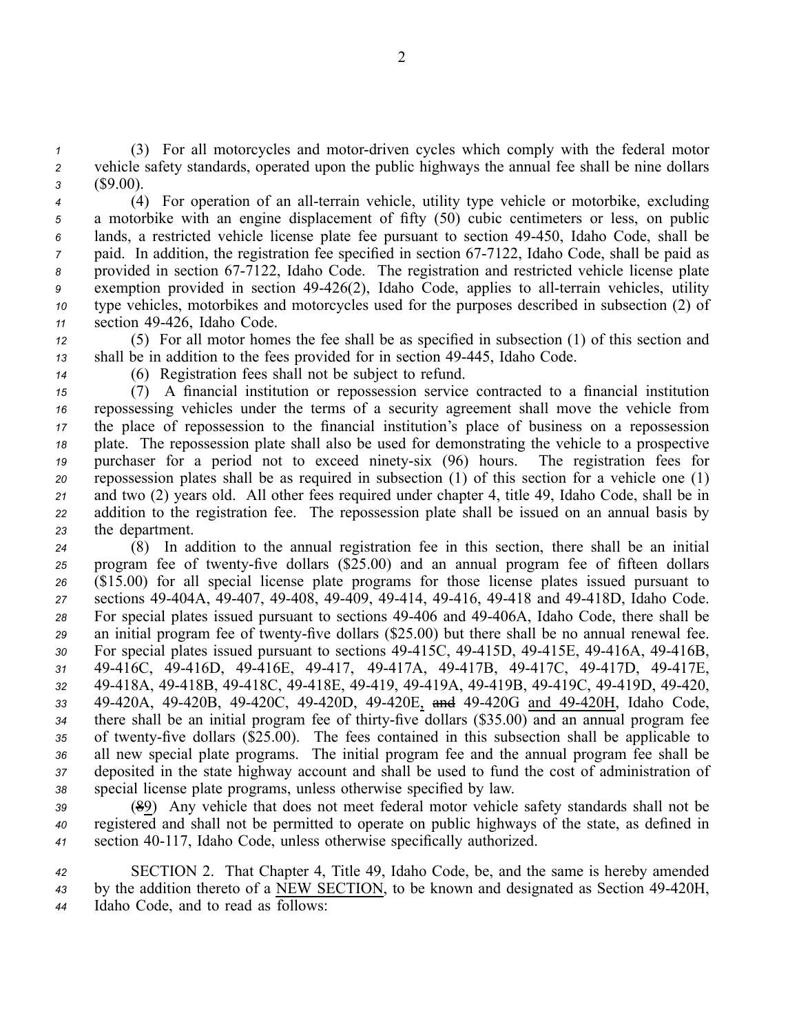*1* (3) For all motorcycles and motor-driven cycles which comply with the federal motor *<sup>2</sup>* vehicle safety standards, operated upon the public highways the annual fee shall be nine dollars *<sup>3</sup>* (\$9.00).

4 (4) For operation of an all-terrain vehicle, utility type vehicle or motorbike, excluding <sup>a</sup> motorbike with an engine displacement of fifty (50) cubic centimeters or less, on public lands, <sup>a</sup> restricted vehicle license plate fee pursuan<sup>t</sup> to section 49450, Idaho Code, shall be paid. In addition, the registration fee specified in section 67-7122, Idaho Code, shall be paid as provided in section 677122, Idaho Code. The registration and restricted vehicle license plate <sup>9</sup> exemption provided in section 49-426(2), Idaho Code, applies to all-terrain vehicles, utility type vehicles, motorbikes and motorcycles used for the purposes described in subsection (2) of section 49426, Idaho Code.

*<sup>12</sup>* (5) For all motor homes the fee shall be as specified in subsection (1) of this section and *<sup>13</sup>* shall be in addition to the fees provided for in section 49445, Idaho Code.

*<sup>14</sup>* (6) Registration fees shall not be subject to refund.

 (7) A financial institution or repossession service contracted to <sup>a</sup> financial institution repossessing vehicles under the terms of <sup>a</sup> security agreemen<sup>t</sup> shall move the vehicle from the place of repossession to the financial institution's place of business on <sup>a</sup> repossession plate. The repossession plate shall also be used for demonstrating the vehicle to <sup>a</sup> prospective purchaser for <sup>a</sup> period not to exceed ninetysix (96) hours. The registration fees for repossession plates shall be as required in subsection (1) of this section for <sup>a</sup> vehicle one (1) and two (2) years old. All other fees required under chapter 4, title 49, Idaho Code, shall be in addition to the registration fee. The repossession plate shall be issued on an annual basis by the department.

 (8) In addition to the annual registration fee in this section, there shall be an initial 25 program fee of twenty-five dollars (\$25.00) and an annual program fee of fifteen dollars (\$15.00) for all special license plate programs for those license plates issued pursuan<sup>t</sup> to sections 49404A, 49407, 49408, 49409, 49414, 49416, 49418 and 49418D, Idaho Code. For special plates issued pursuan<sup>t</sup> to sections 49406 and 49406A, Idaho Code, there shall be 29 an initial program fee of twenty-five dollars (\$25.00) but there shall be no annual renewal fee. 30 For special plates issued pursuant to sections 49-415C, 49-415D, 49-415E, 49-416A, 49-416B, 49416C, 49416D, 49416E, 49417, 49417A, 49417B, 49417C, 49417D, 49417E, 49418A, 49418B, 49418C, 49418E, 49419, 49419A, 49419B, 49419C, 49419D, 49420, 49420A, 49420B, 49420C, 49420D, 49420E, and 49420G and 49420H, Idaho Code, 34 there shall be an initial program fee of thirty-five dollars (\$35.00) and an annual program fee 35 of twenty-five dollars (\$25.00). The fees contained in this subsection shall be applicable to all new special plate programs. The initial program fee and the annual program fee shall be deposited in the state highway account and shall be used to fund the cost of administration of special license plate programs, unless otherwise specified by law.

*<sup>39</sup>* (89) Any vehicle that does not meet federal motor vehicle safety standards shall not be *<sup>40</sup>* registered and shall not be permitted to operate on public highways of the state, as defined in *<sup>41</sup>* section 40117, Idaho Code, unless otherwise specifically authorized.

*<sup>42</sup>* SECTION 2. That Chapter 4, Title 49, Idaho Code, be, and the same is hereby amended <sup>43</sup> by the addition thereto of a NEW SECTION, to be known and designated as Section 49-420H, *<sup>44</sup>* Idaho Code, and to read as follows: